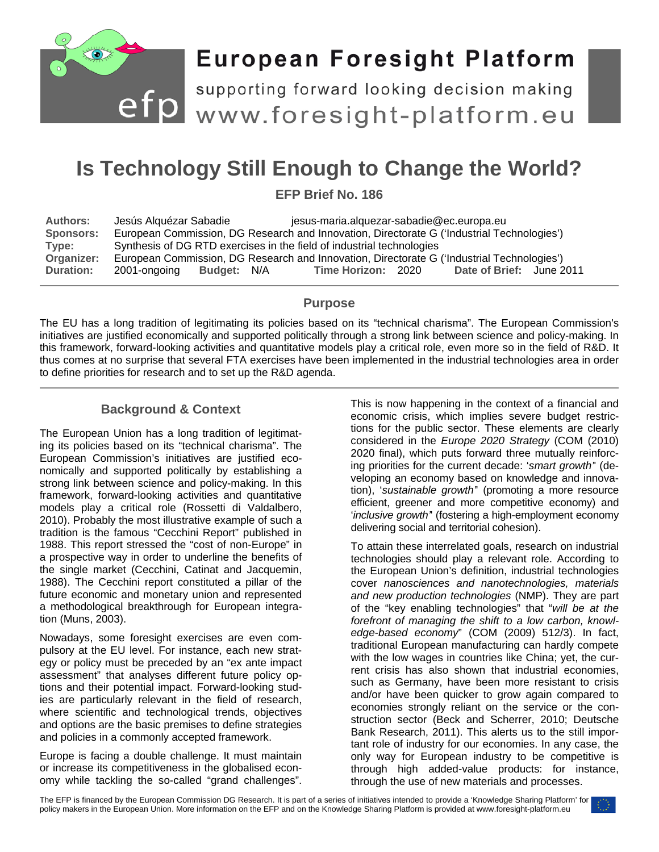

# **European Foresight Platform**

efp supporting forward looking decision making<br>efp www.foresight-platform.eu

## **Is Technology Still Enough to Change the World?**

**EFP Brief No. 186**

| <b>Authors:</b>  | Jesús Alguézar Sabadie                                                                     |             |  | jesus-maria.alquezar-sabadie@ec.europa.eu |  |                          |  |
|------------------|--------------------------------------------------------------------------------------------|-------------|--|-------------------------------------------|--|--------------------------|--|
| <b>Sponsors:</b> | European Commission, DG Research and Innovation, Directorate G ('Industrial Technologies') |             |  |                                           |  |                          |  |
| Type:            | Synthesis of DG RTD exercises in the field of industrial technologies                      |             |  |                                           |  |                          |  |
| Organizer:       | European Commission, DG Research and Innovation, Directorate G ('Industrial Technologies') |             |  |                                           |  |                          |  |
| <b>Duration:</b> | 2001-ongoing                                                                               | Budget: N/A |  | Time Horizon: 2020                        |  | Date of Brief: June 2011 |  |

#### **Purpose**

The EU has a long tradition of legitimating its policies based on its "technical charisma". The European Commission's initiatives are justified economically and supported politically through a strong link between science and policy-making. In this framework, forward-looking activities and quantitative models play a critical role, even more so in the field of R&D. It thus comes at no surprise that several FTA exercises have been implemented in the industrial technologies area in order to define priorities for research and to set up the R&D agenda.

#### **Background & Context**

The European Union has a long tradition of legitimating its policies based on its "technical charisma". The European Commission's initiatives are justified economically and supported politically by establishing a strong link between science and policy-making. In this framework, forward-looking activities and quantitative models play a critical role (Rossetti di Valdalbero, 2010). Probably the most illustrative example of such a tradition is the famous "Cecchini Report" published in 1988. This report stressed the "cost of non-Europe" in a prospective way in order to underline the benefits of the single market (Cecchini, Catinat and Jacquemin, 1988). The Cecchini report constituted a pillar of the future economic and monetary union and represented a methodological breakthrough for European integration (Muns, 2003).

Nowadays, some foresight exercises are even compulsory at the EU level. For instance, each new strategy or policy must be preceded by an "ex ante impact assessment" that analyses different future policy options and their potential impact. Forward-looking studies are particularly relevant in the field of research, where scientific and technological trends, objectives and options are the basic premises to define strategies and policies in a commonly accepted framework.

Europe is facing a double challenge. It must maintain or increase its competitiveness in the globalised economy while tackling the so-called "grand challenges".

This is now happening in the context of a financial and economic crisis, which implies severe budget restrictions for the public sector. These elements are clearly considered in the *Europe 2020 Strategy* (COM (2010) 2020 final), which puts forward three mutually reinforcing priorities for the current decade: '*smart growth'*' (developing an economy based on knowledge and innovation), '*sustainable growth'*' (promoting a more resource efficient, greener and more competitive economy) and '*inclusive growth'*' (fostering a high-employment economy delivering social and territorial cohesion).

To attain these interrelated goals, research on industrial technologies should play a relevant role. According to the European Union's definition, industrial technologies cover *nanosciences and nanotechnologies, materials and new production technologies* (NMP). They are part of the "key enabling technologies" that "*will be at the forefront of managing the shift to a low carbon, knowledge-based economy*" (COM (2009) 512/3). In fact, traditional European manufacturing can hardly compete with the low wages in countries like China; yet, the current crisis has also shown that industrial economies, such as Germany, have been more resistant to crisis and/or have been quicker to grow again compared to economies strongly reliant on the service or the construction sector (Beck and Scherrer, 2010; Deutsche Bank Research, 2011). This alerts us to the still important role of industry for our economies. In any case, the only way for European industry to be competitive is through high added-value products: for instance, through the use of new materials and processes.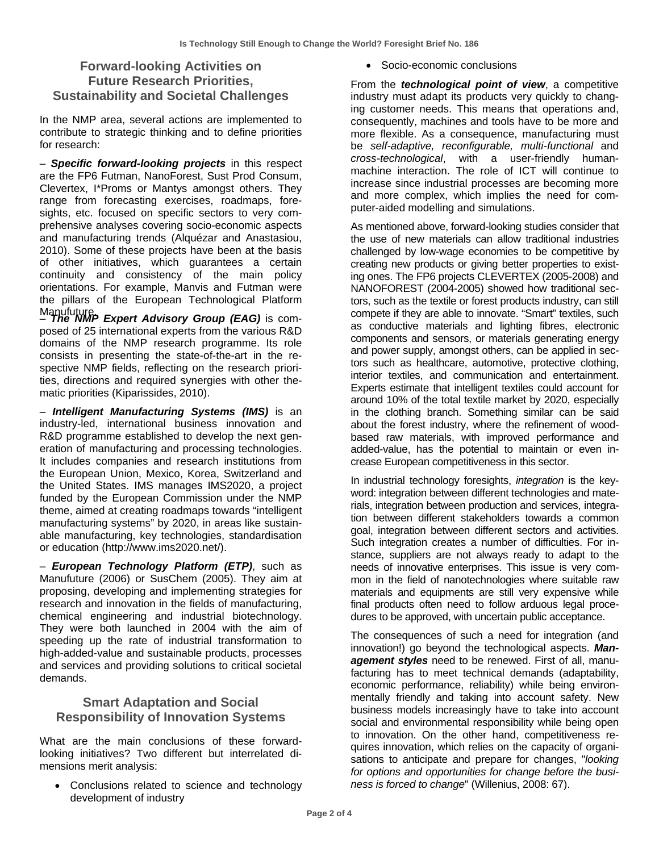### **Forward-looking Activities on Future Research Priorities, Sustainability and Societal Challenges**

In the NMP area, several actions are implemented to contribute to strategic thinking and to define priorities for research:

– *Specific forward-looking projects* in this respect are the FP6 Futman, NanoForest, Sust Prod Consum, Clevertex, I\*Proms or Mantys amongst others. They range from forecasting exercises, roadmaps, foresights, etc. focused on specific sectors to very comprehensive analyses covering socio-economic aspects and manufacturing trends (Alquézar and Anastasiou, 2010). Some of these projects have been at the basis of other initiatives, which guarantees a certain continuity and consistency of the main policy orientations. For example, Manvis and Futman were the pillars of the European Technological Platform Manufuture<br>— **The NMP Expert Advisory Group (EAG)** is com-

posed of 25 international experts from the various R&D domains of the NMP research programme. Its role consists in presenting the state-of-the-art in the respective NMP fields, reflecting on the research priorities, directions and required synergies with other thematic priorities (Kiparissides, 2010).

– *Intelligent Manufacturing Systems (IMS)* is an industry-led, international business innovation and R&D programme established to develop the next generation of manufacturing and processing technologies. It includes companies and research institutions from the European Union, Mexico, Korea, Switzerland and the United States. IMS manages IMS2020, a project funded by the European Commission under the NMP theme, aimed at creating roadmaps towards "intelligent manufacturing systems" by 2020, in areas like sustainable manufacturing, key technologies, standardisation or education [\(http://www.ims2020.net/\)](http://www.ims2020.net/).

– *European Technology Platform (ETP)*, such as Manufuture (2006) or SusChem (2005). They aim at proposing, developing and implementing strategies for research and innovation in the fields of manufacturing, chemical engineering and industrial biotechnology. They were both launched in 2004 with the aim of speeding up the rate of industrial transformation to high-added-value and sustainable products, processes and services and providing solutions to critical societal demands.

#### **Smart Adaptation and Social Responsibility of Innovation Systems**

What are the main conclusions of these forwardlooking initiatives? Two different but interrelated dimensions merit analysis:

• Conclusions related to science and technology development of industry

• Socio-economic conclusions

From the *technological point of view*, a competitive industry must adapt its products very quickly to changing customer needs. This means that operations and, consequently, machines and tools have to be more and more flexible. As a consequence, manufacturing must be *self-adaptive, reconfigurable, multi-functional* and *cross-technological*, with a user-friendly humanmachine interaction. The role of ICT will continue to increase since industrial processes are becoming more and more complex, which implies the need for computer-aided modelling and simulations.

As mentioned above, forward-looking studies consider that the use of new materials can allow traditional industries challenged by low-wage economies to be competitive by creating new products or giving better properties to existing ones. The FP6 projects CLEVERTEX (2005-2008) and NANOFOREST (2004-2005) showed how traditional sectors, such as the textile or forest products industry, can still compete if they are able to innovate. "Smart" textiles, such as conductive materials and lighting fibres, electronic components and sensors, or materials generating energy and power supply, amongst others, can be applied in sectors such as healthcare, automotive, protective clothing, interior textiles, and communication and entertainment. Experts estimate that intelligent textiles could account for around 10% of the total textile market by 2020, especially in the clothing branch. Something similar can be said about the forest industry, where the refinement of woodbased raw materials, with improved performance and added-value, has the potential to maintain or even increase European competitiveness in this sector.

In industrial technology foresights, *integration* is the keyword: integration between different technologies and materials, integration between production and services, integration between different stakeholders towards a common goal, integration between different sectors and activities. Such integration creates a number of difficulties. For instance, suppliers are not always ready to adapt to the needs of innovative enterprises. This issue is very common in the field of nanotechnologies where suitable raw materials and equipments are still very expensive while final products often need to follow arduous legal procedures to be approved, with uncertain public acceptance.

The consequences of such a need for integration (and innovation!) go beyond the technological aspects. *Management styles* need to be renewed. First of all, manufacturing has to meet technical demands (adaptability, economic performance, reliability) while being environmentally friendly and taking into account safety. New business models increasingly have to take into account social and environmental responsibility while being open to innovation. On the other hand, competitiveness requires innovation, which relies on the capacity of organisations to anticipate and prepare for changes, "*looking for options and opportunities for change before the business is forced to change*" (Willenius, 2008: 67).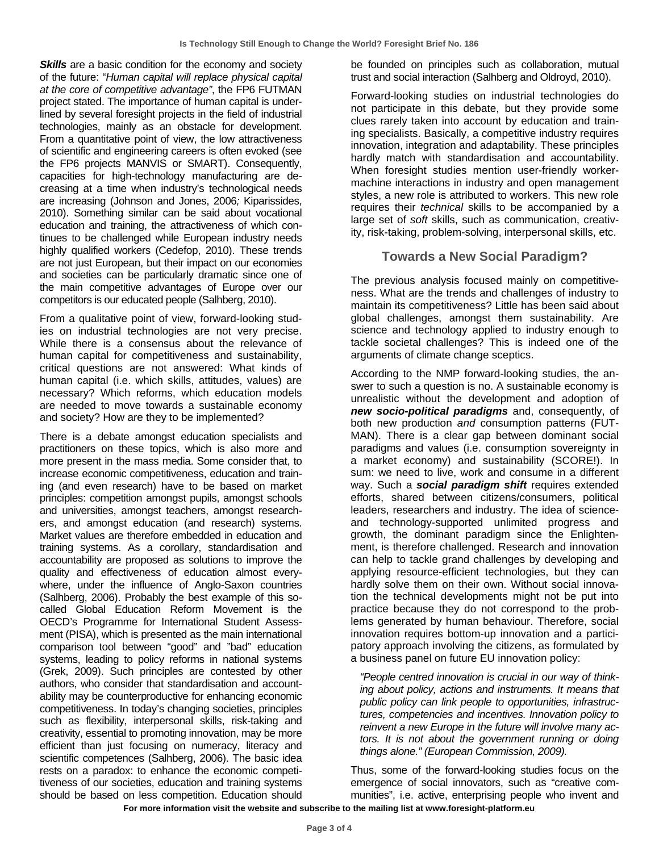**Skills** are a basic condition for the economy and society of the future: "*Human capital will replace physical capital at the core of competitive advantage"*, the FP6 FUTMAN project stated. The importance of human capital is underlined by several foresight projects in the field of industrial technologies, mainly as an obstacle for development. From a quantitative point of view, the low attractiveness of scientific and engineering careers is often evoked (see the FP6 projects MANVIS or SMART). Consequently, capacities for high-technology manufacturing are decreasing at a time when industry's technological needs are increasing (Johnson and Jones, 2006*;* Kiparissides, 2010). Something similar can be said about vocational education and training, the attractiveness of which continues to be challenged while European industry needs highly qualified workers (Cedefop, 2010). These trends are not just European, but their impact on our economies and societies can be particularly dramatic since one of the main competitive advantages of Europe over our competitors is our educated people (Salhberg, 2010).

From a qualitative point of view, forward-looking studies on industrial technologies are not very precise. While there is a consensus about the relevance of human capital for competitiveness and sustainability, critical questions are not answered: What kinds of human capital (i.e. which skills, attitudes, values) are necessary? Which reforms, which education models are needed to move towards a sustainable economy and society? How are they to be implemented?

There is a debate amongst education specialists and practitioners on these topics, which is also more and more present in the mass media. Some consider that, to increase economic competitiveness, education and training (and even research) have to be based on market principles: competition amongst pupils, amongst schools and universities, amongst teachers, amongst researchers, and amongst education (and research) systems. Market values are therefore embedded in education and training systems. As a corollary, standardisation and accountability are proposed as solutions to improve the quality and effectiveness of education almost everywhere, under the influence of Anglo-Saxon countries (Salhberg, 2006). Probably the best example of this socalled Global Education Reform Movement is the OECD's Programme for International Student Assessment (PISA), which is presented as the main international comparison tool between "good" and "bad" education systems, leading to policy reforms in national systems (Grek, 2009). Such principles are contested by other authors, who consider that standardisation and accountability may be counterproductive for enhancing economic competitiveness. In today's changing societies, principles such as flexibility, interpersonal skills, risk-taking and creativity, essential to promoting innovation, may be more efficient than just focusing on numeracy, literacy and scientific competences (Salhberg, 2006). The basic idea rests on a paradox: to enhance the economic competitiveness of our societies, education and training systems should be based on less competition. Education should

be founded on principles such as collaboration, mutual trust and social interaction (Salhberg and Oldroyd, 2010).

Forward-looking studies on industrial technologies do not participate in this debate, but they provide some clues rarely taken into account by education and training specialists. Basically, a competitive industry requires innovation, integration and adaptability. These principles hardly match with standardisation and accountability. When foresight studies mention user-friendly workermachine interactions in industry and open management styles, a new role is attributed to workers. This new role requires their *technical* skills to be accompanied by a large set of *soft* skills, such as communication, creativity, risk-taking, problem-solving, interpersonal skills, etc.

#### **Towards a New Social Paradigm?**

The previous analysis focused mainly on competitiveness. What are the trends and challenges of industry to maintain its competitiveness? Little has been said about global challenges, amongst them sustainability. Are science and technology applied to industry enough to tackle societal challenges? This is indeed one of the arguments of climate change sceptics.

According to the NMP forward-looking studies, the answer to such a question is no. A sustainable economy is unrealistic without the development and adoption of *new socio-political paradigms* and, consequently, of both new production *and* consumption patterns (FUT-MAN). There is a clear gap between dominant social paradigms and values (i.e. consumption sovereignty in a market economy) and sustainability (SCORE!). In sum: we need to live, work and consume in a different way. Such a *social paradigm shift* requires extended efforts, shared between citizens/consumers, political leaders, researchers and industry. The idea of scienceand technology-supported unlimited progress and growth, the dominant paradigm since the Enlightenment, is therefore challenged. Research and innovation can help to tackle grand challenges by developing and applying resource-efficient technologies, but they can hardly solve them on their own. Without social innovation the technical developments might not be put into practice because they do not correspond to the problems generated by human behaviour. Therefore, social innovation requires bottom-up innovation and a participatory approach involving the citizens, as formulated by a business panel on future EU innovation policy:

*"People centred innovation is crucial in our way of thinking about policy, actions and instruments. It means that public policy can link people to opportunities, infrastructures, competencies and incentives. Innovation policy to reinvent a new Europe in the future will involve many actors. It is not about the government running or doing things alone." (European Commission, 2009).*

Thus, some of the forward-looking studies focus on the emergence of social innovators, such as "creative communities", i.e. active, enterprising people who invent and

**For more information visit the website and subscribe to the mailing list at www.foresight-platform.eu**